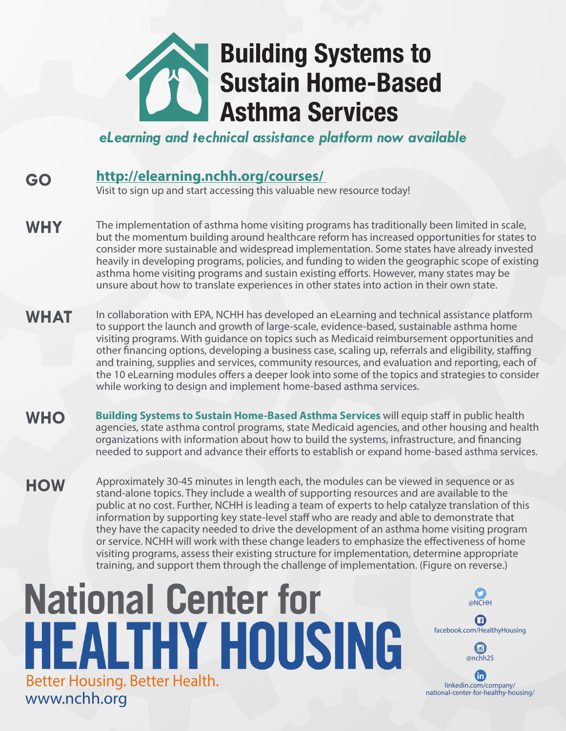

*eLearning and technical assistance platform now available*

## **[http://elearning.nchh.org/courses/](http://elearning.nchh.org/courses/ )  GO**

Visit to sign up and start accessing this valuable new resource today!

- The implementation of asthma home visiting programs has traditionally been limited in scale, but the momentum building around healthcare reform has increased opportunities for states to consider more sustainable and widespread implementation. Some states have already invested heavily in developing programs, policies, and funding to widen the geographic scope of existing asthma home visiting programs and sustain existing efforts. However, many states may be unsure about how to translate experiences in other states into action in their own state. **WHY**
- In collaboration with EPA, NCHH has developed an eLearning and technical assistance platform to support the launch and growth of large-scale, evidence-based, sustainable asthma home visiting programs. With guidance on topics such as Medicaid reimbursement opportunities and other financing options, developing a business case, scaling up, referrals and eligibility, staffing and training, supplies and services, community resources, and evaluation and reporting, each of the 10 eLearning modules offers a deeper look into some of the topics and strategies to consider while working to design and implement home-based asthma services. **WHAT**
- **Building Systems to Sustain Home-Based Asthma Services** will equip staff in public health agencies, state asthma control programs, state Medicaid agencies, and other housing and health organizations with information about how to build the systems, infrastructure, and financing needed to support and advance their efforts to establish or expand home-based asthma services. **WHO**
- Approximately 30-45 minutes in length each, the modules can be viewed in sequence or as stand-alone topics. They include a wealth of supporting resources and are available to the public at no cost. Further, NCHH is leading a team of experts to help catalyze translation of this information by supporting key state-level staff who are ready and able to demonstrate that they have the capacity needed to drive the development of an asthma home visiting program or service. NCHH will work with these change leaders to emphasize the effectiveness of home visiting programs, assess their existing structure for implementation, determine appropriate training, and support them through the challenge of implementation. (Figure on reverse.) **HOW**

@NCHH

O

facebook.com/HealthyHousing

 $\mathbf G$ 

@nchh25

 $\bigcirc$ 

linkedin.com/company/ national-center-for-healthy-housing/

 $\bf{f}$ 

## **National Center for HEALTHY HOUSING** Better Housing. Better Health. www.nchh.org